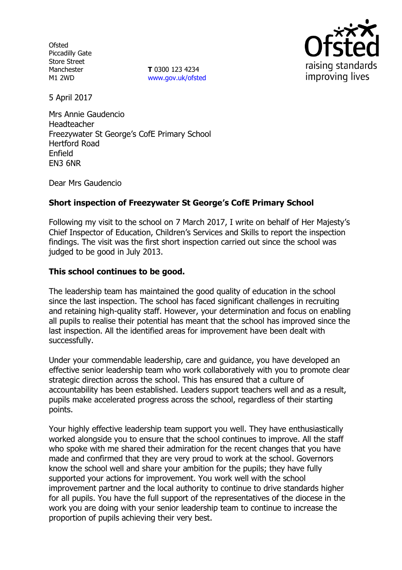**Ofsted** Piccadilly Gate Store Street Manchester M1 2WD

**T** 0300 123 4234 [www.gov.uk/ofsted](http://www.gov.uk/ofsted)



5 April 2017

Mrs Annie Gaudencio Headteacher Freezywater St George's CofE Primary School Hertford Road Enfield EN3 6NR

Dear Mrs Gaudencio

# **Short inspection of Freezywater St George's CofE Primary School**

Following my visit to the school on 7 March 2017, I write on behalf of Her Majesty's Chief Inspector of Education, Children's Services and Skills to report the inspection findings. The visit was the first short inspection carried out since the school was judged to be good in July 2013.

# **This school continues to be good.**

The leadership team has maintained the good quality of education in the school since the last inspection. The school has faced significant challenges in recruiting and retaining high-quality staff. However, your determination and focus on enabling all pupils to realise their potential has meant that the school has improved since the last inspection. All the identified areas for improvement have been dealt with successfully.

Under your commendable leadership, care and guidance, you have developed an effective senior leadership team who work collaboratively with you to promote clear strategic direction across the school. This has ensured that a culture of accountability has been established. Leaders support teachers well and as a result, pupils make accelerated progress across the school, regardless of their starting points.

Your highly effective leadership team support you well. They have enthusiastically worked alongside you to ensure that the school continues to improve. All the staff who spoke with me shared their admiration for the recent changes that you have made and confirmed that they are very proud to work at the school. Governors know the school well and share your ambition for the pupils; they have fully supported your actions for improvement. You work well with the school improvement partner and the local authority to continue to drive standards higher for all pupils. You have the full support of the representatives of the diocese in the work you are doing with your senior leadership team to continue to increase the proportion of pupils achieving their very best.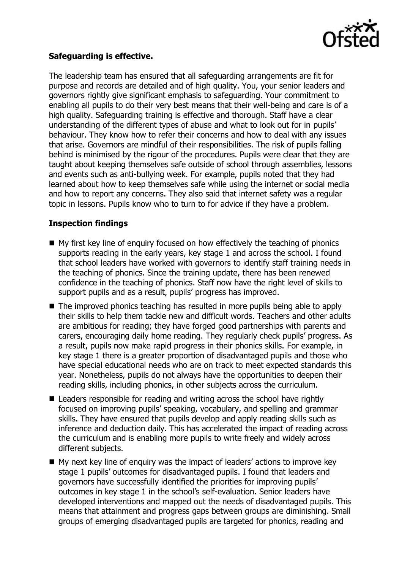

### **Safeguarding is effective.**

The leadership team has ensured that all safeguarding arrangements are fit for purpose and records are detailed and of high quality. You, your senior leaders and governors rightly give significant emphasis to safeguarding. Your commitment to enabling all pupils to do their very best means that their well-being and care is of a high quality. Safeguarding training is effective and thorough. Staff have a clear understanding of the different types of abuse and what to look out for in pupils' behaviour. They know how to refer their concerns and how to deal with any issues that arise. Governors are mindful of their responsibilities. The risk of pupils falling behind is minimised by the rigour of the procedures. Pupils were clear that they are taught about keeping themselves safe outside of school through assemblies, lessons and events such as anti-bullying week. For example, pupils noted that they had learned about how to keep themselves safe while using the internet or social media and how to report any concerns. They also said that internet safety was a regular topic in lessons. Pupils know who to turn to for advice if they have a problem.

# **Inspection findings**

- My first key line of enquiry focused on how effectively the teaching of phonics supports reading in the early years, key stage 1 and across the school. I found that school leaders have worked with governors to identify staff training needs in the teaching of phonics. Since the training update, there has been renewed confidence in the teaching of phonics. Staff now have the right level of skills to support pupils and as a result, pupils' progress has improved.
- The improved phonics teaching has resulted in more pupils being able to apply their skills to help them tackle new and difficult words. Teachers and other adults are ambitious for reading; they have forged good partnerships with parents and carers, encouraging daily home reading. They regularly check pupils' progress. As a result, pupils now make rapid progress in their phonics skills. For example, in key stage 1 there is a greater proportion of disadvantaged pupils and those who have special educational needs who are on track to meet expected standards this year. Nonetheless, pupils do not always have the opportunities to deepen their reading skills, including phonics, in other subjects across the curriculum.
- Leaders responsible for reading and writing across the school have rightly focused on improving pupils' speaking, vocabulary, and spelling and grammar skills. They have ensured that pupils develop and apply reading skills such as inference and deduction daily. This has accelerated the impact of reading across the curriculum and is enabling more pupils to write freely and widely across different subjects.
- My next key line of enquiry was the impact of leaders' actions to improve key stage 1 pupils' outcomes for disadvantaged pupils. I found that leaders and governors have successfully identified the priorities for improving pupils' outcomes in key stage 1 in the school's self-evaluation. Senior leaders have developed interventions and mapped out the needs of disadvantaged pupils. This means that attainment and progress gaps between groups are diminishing. Small groups of emerging disadvantaged pupils are targeted for phonics, reading and